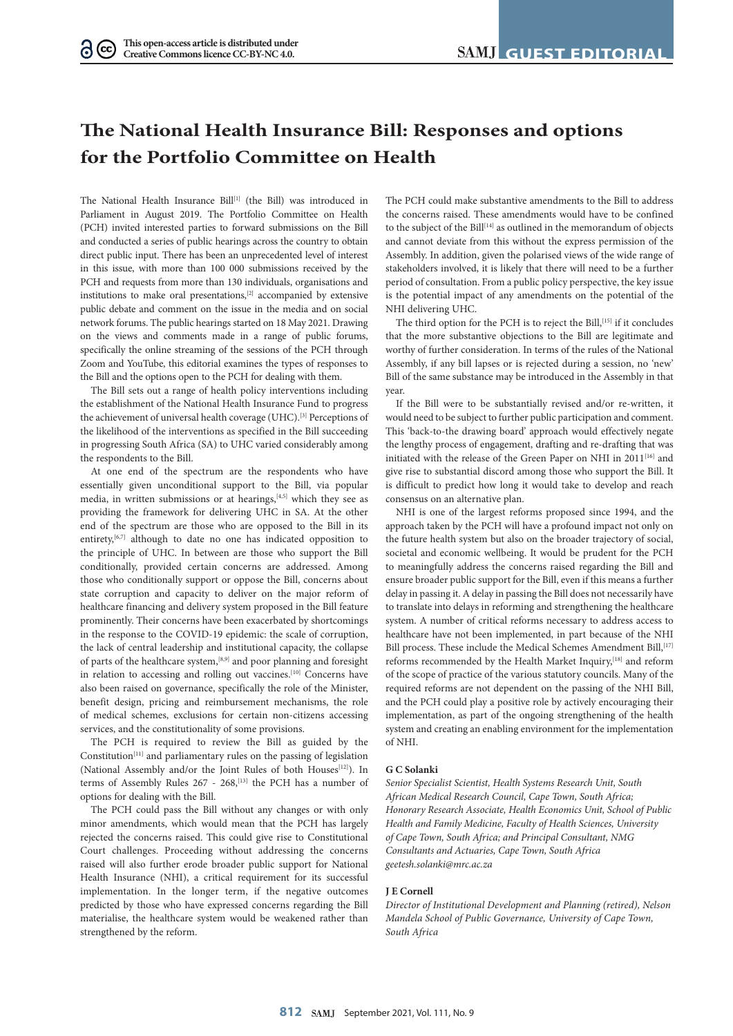# **The National Health Insurance Bill: Responses and options for the Portfolio Committee on Health**

The National Health Insurance Bill<sup>[1]</sup> (the Bill) was introduced in Parliament in August 2019. The Portfolio Committee on Health (PCH) invited interested parties to forward submissions on the Bill and conducted a series of public hearings across the country to obtain direct public input. There has been an unprecedented level of interest in this issue, with more than 100 000 submissions received by the PCH and requests from more than 130 individuals, organisations and institutions to make oral presentations,[2] accompanied by extensive public debate and comment on the issue in the media and on social network forums. The public hearings started on 18 May 2021. Drawing on the views and comments made in a range of public forums, specifically the online streaming of the sessions of the PCH through Zoom and YouTube, this editorial examines the types of responses to the Bill and the options open to the PCH for dealing with them.

The Bill sets out a range of health policy interventions including the establishment of the National Health Insurance Fund to progress the achievement of universal health coverage (UHC).<sup>[3]</sup> Perceptions of the likelihood of the interventions as specified in the Bill succeeding in progressing South Africa (SA) to UHC varied considerably among the respondents to the Bill.

At one end of the spectrum are the respondents who have essentially given unconditional support to the Bill, via popular media, in written submissions or at hearings,<sup>[4,5]</sup> which they see as providing the framework for delivering UHC in SA. At the other end of the spectrum are those who are opposed to the Bill in its entirety,<sup>[6,7]</sup> although to date no one has indicated opposition to the principle of UHC. In between are those who support the Bill conditionally, provided certain concerns are addressed. Among those who conditionally support or oppose the Bill, concerns about state corruption and capacity to deliver on the major reform of healthcare financing and delivery system proposed in the Bill feature prominently. Their concerns have been exacerbated by shortcomings in the response to the COVID-19 epidemic: the scale of corruption, the lack of central leadership and institutional capacity, the collapse of parts of the healthcare system,[8,9] and poor planning and foresight in relation to accessing and rolling out vaccines.[10] Concerns have also been raised on governance, specifically the role of the Minister, benefit design, pricing and reimbursement mechanisms, the role of medical schemes, exclusions for certain non-citizens accessing services, and the constitutionality of some provisions.

The PCH is required to review the Bill as guided by the Constitution[11] and parliamentary rules on the passing of legislation (National Assembly and/or the Joint Rules of both Houses<sup>[12]</sup>). In terms of Assembly Rules 267 - 268,<sup>[13]</sup> the PCH has a number of options for dealing with the Bill.

The PCH could pass the Bill without any changes or with only minor amendments, which would mean that the PCH has largely rejected the concerns raised. This could give rise to Constitutional Court challenges. Proceeding without addressing the concerns raised will also further erode broader public support for National Health Insurance (NHI), a critical requirement for its successful implementation. In the longer term, if the negative outcomes predicted by those who have expressed concerns regarding the Bill materialise, the healthcare system would be weakened rather than strengthened by the reform.

The PCH could make substantive amendments to the Bill to address the concerns raised. These amendments would have to be confined to the subject of the Bill<sup>[14]</sup> as outlined in the memorandum of objects and cannot deviate from this without the express permission of the Assembly. In addition, given the polarised views of the wide range of stakeholders involved, it is likely that there will need to be a further period of consultation. From a public policy perspective, the key issue is the potential impact of any amendments on the potential of the NHI delivering UHC.

The third option for the PCH is to reject the Bill,<sup>[15]</sup> if it concludes that the more substantive objections to the Bill are legitimate and worthy of further consideration. In terms of the rules of the National Assembly, if any bill lapses or is rejected during a session, no 'new' Bill of the same substance may be introduced in the Assembly in that year.

If the Bill were to be substantially revised and/or re-written, it would need to be subject to further public participation and comment. This 'back-to-the drawing board' approach would effectively negate the lengthy process of engagement, drafting and re-drafting that was initiated with the release of the Green Paper on NHI in 2011<sup>[16]</sup> and give rise to substantial discord among those who support the Bill. It is difficult to predict how long it would take to develop and reach consensus on an alternative plan.

NHI is one of the largest reforms proposed since 1994, and the approach taken by the PCH will have a profound impact not only on the future health system but also on the broader trajectory of social, societal and economic wellbeing. It would be prudent for the PCH to meaningfully address the concerns raised regarding the Bill and ensure broader public support for the Bill, even if this means a further delay in passing it. A delay in passing the Bill does not necessarily have to translate into delays in reforming and strengthening the healthcare system. A number of critical reforms necessary to address access to healthcare have not been implemented, in part because of the NHI Bill process. These include the Medical Schemes Amendment Bill, [17] reforms recommended by the Health Market Inquiry,<sup>[18]</sup> and reform of the scope of practice of the various statutory councils. Many of the required reforms are not dependent on the passing of the NHI Bill, and the PCH could play a positive role by actively encouraging their implementation, as part of the ongoing strengthening of the health system and creating an enabling environment for the implementation of NHI.

### **G C Solanki**

*Senior Specialist Scientist, Health Systems Research Unit, South African Medical Research Council, Cape Town, South Africa; Honorary Research Associate, Health Economics Unit, School of Public Health and Family Medicine, Faculty of Health Sciences, University of Cape Town, South Africa; and Principal Consultant, NMG Consultants and Actuaries, Cape Town, South Africa [geetesh.solanki@mrc.ac.za](mailto:geetesh.solanki@mrc.ac.za)*

### **J E Cornell**

*Director of Institutional Development and Planning (retired), Nelson Mandela School of Public Governance, University of Cape Town, South Africa*